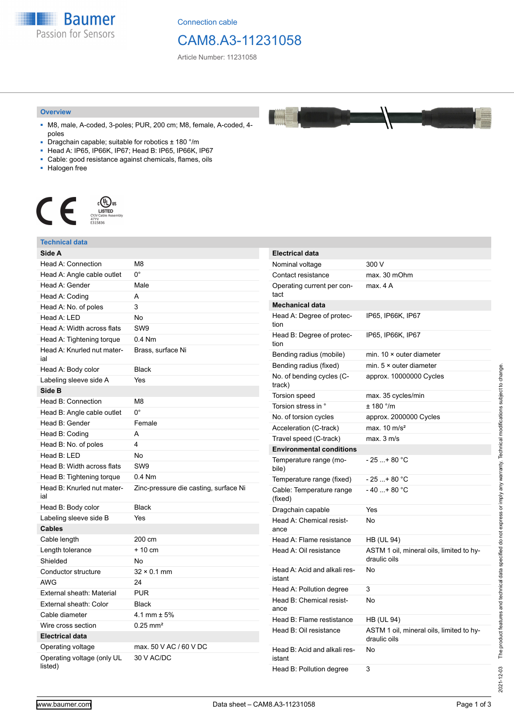**Baumer** Passion for Sensors

Connection cable

# CAM8.A3-11231058

Article Number: 11231058

#### **Overview**

- M8, male, A-coded, 3-poles; PUR, 200 cm; M8, female, A-coded, 4 poles
- Dragchain capable; suitable for robotics ± 180 °/m
- Head A: IP65, IP66K, IP67; Head B: IP65, IP66K, IP67
- Cable: good resistance against chemicals, flames, oils
- Halogen free



### **Technical data**

| Side A                                |                                       | <b>Electrical data</b>                                    |                                                          |
|---------------------------------------|---------------------------------------|-----------------------------------------------------------|----------------------------------------------------------|
| Head A: Connection                    | M <sub>8</sub>                        | Nominal voltage                                           | 300 V                                                    |
| Head A: Angle cable outlet            | $0^{\circ}$                           | Contact resistance                                        | max. 30 mOhm                                             |
| Head A: Gender                        | Male                                  | Operating current per con-                                | max. 4 A                                                 |
| Head A: Coding                        | A                                     | tact                                                      |                                                          |
| Head A: No. of poles                  | 3                                     | <b>Mechanical data</b>                                    |                                                          |
| Head A: LED                           | No                                    | Head A: Degree of protec-                                 | IP65, IP66K, IP67                                        |
| Head A: Width across flats            | SW9                                   | tion                                                      |                                                          |
| Head A: Tightening torque             | $0.4$ Nm                              | Head B: Degree of protec-<br>tion                         | IP65, IP66K, IP67                                        |
| Head A: Knurled nut mater-<br>ial     | Brass, surface Ni                     | Bending radius (mobile)                                   | min. $10 \times$ outer diameter                          |
| Head A: Body color                    | <b>Black</b>                          | Bending radius (fixed)                                    | min. $5 \times$ outer diameter                           |
| Labeling sleeve side A                | Yes                                   | No. of bending cycles (C-                                 | approx. 10000000 Cycles                                  |
| Side B                                |                                       | track)                                                    |                                                          |
| Head B: Connection                    | M <sub>8</sub>                        | <b>Torsion speed</b>                                      | max. 35 cycles/min                                       |
| Head B: Angle cable outlet            | $0^{\circ}$                           | Torsion stress in °                                       | $\pm$ 180 °/m                                            |
| Head B: Gender                        | Female                                | No. of torsion cycles                                     | approx. 2000000 Cycles                                   |
| Head B: Coding                        | Α                                     | Acceleration (C-track)                                    | max. $10 \text{ m/s}^2$<br>max. 3 m/s                    |
| Head B: No. of poles                  | 4                                     | Travel speed (C-track)                                    |                                                          |
| Head B: LED                           | No                                    | <b>Environmental conditions</b><br>Temperature range (mo- | $-25+80 °C$                                              |
| Head B: Width across flats            | SW <sub>9</sub>                       | bile)                                                     |                                                          |
| Head B: Tightening torque             | $0.4$ Nm                              | Temperature range (fixed)                                 | $-25+80 °C$                                              |
| Head B: Knurled nut mater-<br>ial     | Zinc-pressure die casting, surface Ni | Cable: Temperature range<br>(fixed)                       | $-40+80 °C$                                              |
| Head B: Body color                    | <b>Black</b>                          | Dragchain capable                                         | Yes                                                      |
| Labeling sleeve side B                | Yes                                   | Head A: Chemical resist-                                  | No                                                       |
| <b>Cables</b>                         |                                       | ance                                                      |                                                          |
| Cable length                          | 200 cm                                | Head A: Flame resistance                                  | <b>HB (UL 94)</b>                                        |
| Length tolerance                      | + 10 cm                               | Head A: Oil resistance                                    | ASTM 1 oil, mineral oils, limited to hy-<br>draulic oils |
| Shielded                              | <b>No</b>                             |                                                           |                                                          |
| Conductor structure                   | $32 \times 0.1$ mm                    | Head A: Acid and alkali res-                              | No                                                       |
| <b>AWG</b>                            | 24                                    | istant                                                    |                                                          |
| External sheath: Material             | <b>PUR</b>                            | Head A: Pollution degree                                  | 3<br><b>No</b>                                           |
| External sheath: Color                | <b>Black</b>                          | Head B: Chemical resist-<br>ance                          |                                                          |
| Cable diameter                        | 4.1 mm $\pm$ 5%                       | Head B: Flame restistance                                 | <b>HB (UL 94)</b>                                        |
| Wire cross section                    | $0.25$ mm <sup>2</sup>                | Head B: Oil resistance                                    | ASTM 1 oil, mineral oils, limited to hy-                 |
| <b>Electrical data</b>                |                                       |                                                           | draulic oils                                             |
| Operating voltage                     | max. 50 V AC / 60 V DC                | Head B: Acid and alkali res-<br>istant                    | No                                                       |
| Operating voltage (only UL<br>listed) | 30 V AC/DC                            |                                                           |                                                          |
|                                       |                                       | Head B: Pollution degree                                  | 3                                                        |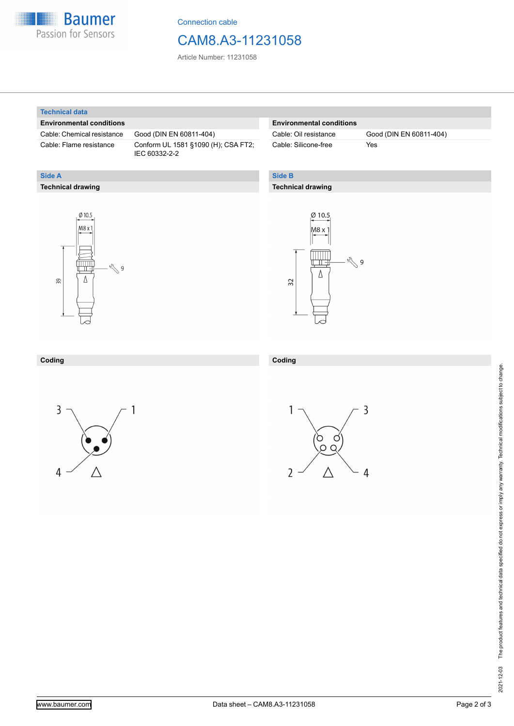

Connection cable

## CAM8.A3-11231058

Article Number: 11231058

#### **Technical data**

**Technical drawing**

**Side A**

#### **Environmental conditions**

Cable: Chemical resistance Good (DIN EN 60811-404)

Cable: Flame resistance Conform UL 1581 §1090 (H); CSA FT2; IEC 60332-2-2

#### **Environmental conditions**

Cable: Silicone-free Yes

Cable: Oil resistance Good (DIN EN 60811-404)

### **Side B**

**Coding**

#### **Technical drawing**





### **Coding**